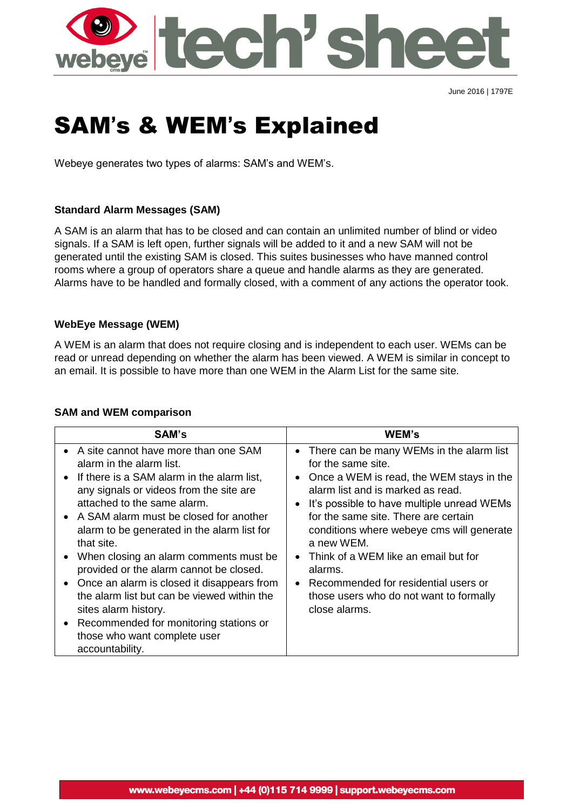

June 2016 | 1797E

# SAM's & WEM's Explained

Webeye generates two types of alarms: SAM's and WEM's.

# **Standard Alarm Messages (SAM)**

A SAM is an alarm that has to be closed and can contain an unlimited number of blind or video signals. If a SAM is left open, further signals will be added to it and a new SAM will not be generated until the existing SAM is closed. This suites businesses who have manned control rooms where a group of operators share a queue and handle alarms as they are generated. Alarms have to be handled and formally closed, with a comment of any actions the operator took.

# **WebEye Message (WEM)**

A WEM is an alarm that does not require closing and is independent to each user. WEMs can be read or unread depending on whether the alarm has been viewed. A WEM is similar in concept to an email. It is possible to have more than one WEM in the Alarm List for the same site.

## **SAM and WEM comparison**

| <b>SAM's</b>                                                                                                                                                                                                                                                                                                                                                                                                                                                                                                                                                                                                       | WEM's                                                                                                                                                                                                                                                                                                                                                                                                                                                     |
|--------------------------------------------------------------------------------------------------------------------------------------------------------------------------------------------------------------------------------------------------------------------------------------------------------------------------------------------------------------------------------------------------------------------------------------------------------------------------------------------------------------------------------------------------------------------------------------------------------------------|-----------------------------------------------------------------------------------------------------------------------------------------------------------------------------------------------------------------------------------------------------------------------------------------------------------------------------------------------------------------------------------------------------------------------------------------------------------|
| • A site cannot have more than one SAM<br>alarm in the alarm list.<br>• If there is a SAM alarm in the alarm list,<br>any signals or videos from the site are<br>attached to the same alarm.<br>• A SAM alarm must be closed for another<br>alarm to be generated in the alarm list for<br>that site.<br>• When closing an alarm comments must be<br>provided or the alarm cannot be closed.<br>• Once an alarm is closed it disappears from<br>the alarm list but can be viewed within the<br>sites alarm history.<br>• Recommended for monitoring stations or<br>those who want complete user<br>accountability. | • There can be many WEMs in the alarm list<br>for the same site.<br>Once a WEM is read, the WEM stays in the<br>alarm list and is marked as read.<br>It's possible to have multiple unread WEMs<br>for the same site. There are certain<br>conditions where webeye cms will generate<br>a new WEM.<br>Think of a WEM like an email but for<br>alarms.<br>Recommended for residential users or<br>those users who do not want to formally<br>close alarms. |